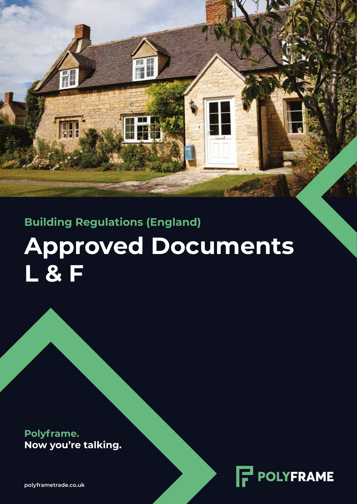**Approved Documents L & F Building Regulations (England)**

ne k

**Polyframe. Now you're talking.**



**polyframetrade.co.uk**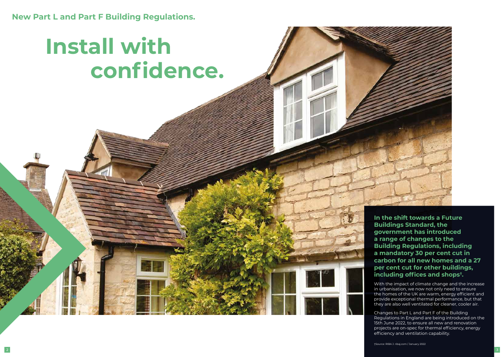**New Part L and Part F Building Regulations.** 

**In the shift towards a Future Buildings Standard, the government has introduced a range of changes to the Building Regulations, including a mandatory 30 per cent cut in carbon for all new homes and a 27 per cent cut for other buildings, including offices and shops†.** 

With the impact of climate change and the increase in urbanisation, we now not only need to ensure the homes of the UK are warm, energy efficient and provide exceptional thermal performance, but that they are also well ventilated for cleaner, cooler air.

Changes to Part L and Part F of the Building Regulations in England are being introduced on the 15th June 2022, to ensure all new and renovation projects are on-spec for thermal efficiency, energy efficiency and ventilation capability.

# **Install with confidence.**

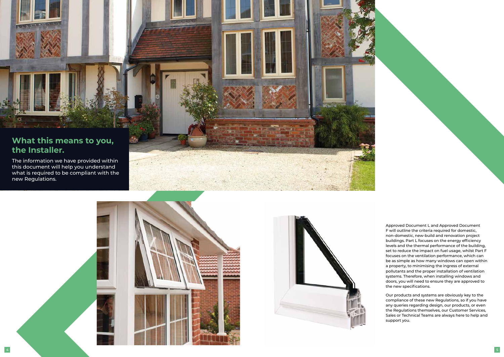

## **What this means to you, the Installer.**

The information we have provided within this document will help you understand what is required to be compliant with the new Regulations.





Approved Document L and Approved Document F will outline the criteria required for domestic, non-domestic, new-build and renovation project buildings. Part L focuses on the energy efficiency levels and the thermal performance of the building, set to reduce the impact on fuel usage, whilst Part F focuses on the ventilation performance, which can be as simple as how many windows can open within a property, to minimising the ingress of external pollutants and the proper installation of ventilation systems. Therefore, when installing windows and doors, you will need to ensure they are approved to the new specifications.

Our products and systems are obviously key to the compliance of these new Regulations, so if you have any queries regarding design, our products, or even the Regulations themselves, our Customer Services, Sales or Technical Teams are always here to help and support you.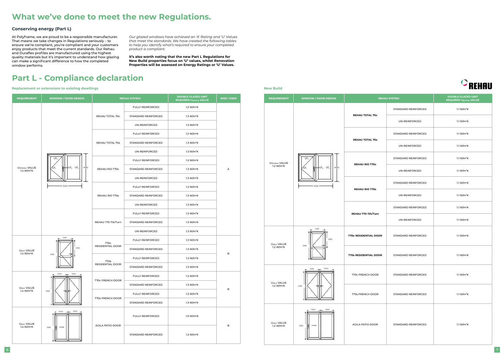| <b>EHAU SYSTEM</b> |                     | <b>DOUBLE GLAZED UNIT</b><br><b>REQUIRED Uglazing VALUE</b> |  |
|--------------------|---------------------|-------------------------------------------------------------|--|
|                    | STANDARD REINFORCED | 1.1 W/ $m^2K$                                               |  |
|                    | UN-REINFORCED       | 1.1 W/m <sup>2</sup> K                                      |  |
|                    | STANDARD REINFORCED | 1.1 W/ $m^2K$                                               |  |
|                    | UN-REINFORCED       | 1.1 W/m <sup>2</sup> K                                      |  |
|                    | STANDARD REINFORCED | 1.1 W/ $m^2K$                                               |  |
|                    | UN-REINFORCED       | 1.1 W/ $m^2K$                                               |  |
|                    | STANDARD REINFORCED | 1.1 W/m <sup>2</sup> K                                      |  |
|                    | UN-REINFORCED       | 1.1 W/ $m^2K$                                               |  |
|                    | STANDARD REINFORCED | 1.1 W/m <sup>2</sup> K                                      |  |
|                    | UN-REINFORCED       | 1.1 W/ $m^2K$                                               |  |
| R                  | STANDARD REINFORCED | 1.1 W/m <sup>2</sup> K                                      |  |
| R                  | STANDARD REINFORCED | 1.1 W/ $m^2K$                                               |  |
|                    | STANDARD REINFORCED | 1.1 $W/m^2K$                                                |  |
|                    | STANDARD REINFORCED | 1.1 W/m <sup>2</sup> K                                      |  |
|                    | STANDARD REINFORCED | 1.1 W/m <sup>2</sup> K                                      |  |





## **Part L - Compliance declaration**

## **What we've done to meet the new Regulations.**

At Polyframe, we are proud to be a responsible manufacturer. That means we take changes in Regulations seriously – to ensure we're compliant, you're compliant and your customers enjoy products that meet the current standards. Our Rehau and Duraflex profiles are manufactured using the highest quality materials but it's important to understand how glazing can make a significant difference to how the completed window performs.

*Our glazed windows have achieved an 'A' Rating and 'U' Values that meet the standards. We have created the following tables to help you identify what's required to ensure your completed product is compliant.* 

**It's also worth noting that the new Part L Regulations for New Build properties focus on 'U' values, whilst Renovation Properties will be assessed on Energy Ratings or 'U' Values.**

### **Conserving energy (Part L)**

| <b>REQUIREMENT</b>                      | <b>WINDOW / DOOR DESIGN</b>                                                      | <b>REHAU SYSTEM</b>                  |                         | <b>DOUBLE GLAZED UNIT</b><br><b>REQUIRED Uglazing VALUE</b> | WER / DSER   |
|-----------------------------------------|----------------------------------------------------------------------------------|--------------------------------------|-------------------------|-------------------------------------------------------------|--------------|
|                                         |                                                                                  | REHAU TOTAL 70c                      | <b>FULLY REINFORCED</b> | 1.2 W/m <sup>2</sup> K                                      | А            |
|                                         |                                                                                  |                                      | STANDARD REINFORCED     | 1.3 W/m <sup>2</sup> K                                      |              |
|                                         |                                                                                  |                                      | UN-REINFORCED           | 1.3 W/m <sup>2</sup> K                                      |              |
|                                         | $Uf_4$<br>$+$ Uf <sub>2</sub> Uf <sub>3</sub><br>1480<br>Uf <sub>1</sub><br>1230 | REHAU TOTAL 70s                      | <b>FULLY REINFORCED</b> | 1.2 W/m <sup>2</sup> K                                      |              |
|                                         |                                                                                  |                                      | STANDARD REINFORCED     | 1.3 W/m <sup>2</sup> K                                      |              |
|                                         |                                                                                  |                                      | UN-REINFORCED           | 1.3 W/m <sup>2</sup> K                                      |              |
|                                         |                                                                                  | REHAU RIO T70c                       | <b>FULLY REINFORCED</b> | 1.2 W/m <sup>2</sup> K                                      |              |
| Uwindow VALUE<br>1.4 W/m <sup>2</sup> K |                                                                                  |                                      | STANDARD REINFORCED     | 1.3 W/m <sup>2</sup> K                                      |              |
|                                         |                                                                                  |                                      | UN-REINFORCED           | 1.3 W/m <sup>2</sup> K                                      |              |
|                                         |                                                                                  | REHAU RIO T70s                       | <b>FULLY REINFORCED</b> | 1.2 W/m <sup>2</sup> K                                      |              |
|                                         |                                                                                  |                                      | STANDARD REINFORCED     | 1.3 W/m <sup>2</sup> K                                      |              |
|                                         |                                                                                  |                                      | UN-REINFORCED           | 1.3 W/m <sup>2</sup> K                                      |              |
|                                         |                                                                                  | REHAU T70 Tilt/Turn                  | <b>FULLY REINFORCED</b> | 1.2 W/m <sup>2</sup> K                                      |              |
|                                         |                                                                                  |                                      | STANDARD REINFORCED     | 1.3 W/m <sup>2</sup> K                                      |              |
|                                         |                                                                                  |                                      | UN-REINFORCED           | 1.3 W/m <sup>2</sup> K                                      |              |
|                                         | 1230<br>1090<br>2180                                                             | T <sub>70c</sub><br>RESIDENTIAL DOOR | <b>FULLY REINFORCED</b> | 1.3 W/m <sup>2</sup> K                                      | в            |
| Udoor VALUE                             |                                                                                  |                                      | STANDARD REINFORCED     | 1.3 W/m <sup>2</sup> K                                      |              |
| 1.4 W/m <sup>2</sup> K                  |                                                                                  | T <sub>70s</sub><br>RESIDENTIAL DOOR | <b>FULLY REINFORCED</b> | 1.2 W/m <sup>2</sup> K                                      |              |
|                                         |                                                                                  |                                      | STANDARD REINFORCED     | 1.3 W/m <sup>2</sup> K                                      |              |
|                                         | 1000<br>1000<br>$-$<br>2180                                                      | T70c FRENCH DOOR                     | <b>FULLY REINFORCED</b> | 1.2 W/m <sup>2</sup> K                                      | в            |
| Udoor VALUE                             |                                                                                  |                                      | STANDARD REINFORCED     | 1.3 W/m <sup>2</sup> K                                      |              |
| 1.4 W/m <sup>2</sup> K                  |                                                                                  | T70s FRENCH DOOR                     | <b>FULLY REINFORCED</b> | 1.2 $W/m^2K$                                                |              |
|                                         |                                                                                  |                                      | STANDARD REINFORCED     | 1.3 W/m <sup>2</sup> K                                      |              |
| Udoor VALUE                             | $\leftarrow$ 1000 $\leftarrow$ 1000 $\leftarrow$<br>2180                         | <b>AGILA PATIO DOOR</b>              | <b>FULLY REINFORCED</b> | 1.0 W/m <sup>2</sup> K                                      |              |
| 1.4 W/m <sup>2</sup> K                  |                                                                                  |                                      | STANDARD REINFORCED     | 1.2 $W/m^2K$                                                | $\, {\bf B}$ |

**Replacement or extensions to existing dwellings New Build**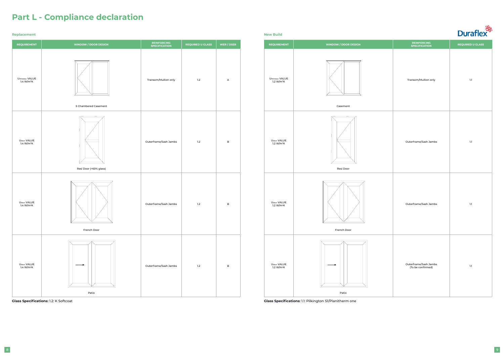



| <b>REINFORCING</b><br><b>SPECIFICATION</b> | <b>REQUIRED U GLASS</b> |
|--------------------------------------------|-------------------------|
| Transom/Mullion only                       | $1.1\,$                 |
| Outerframe/Sash Jambs                      | $1.1\,$                 |
| Outerframe/Sash Jambs                      | $1.1\,$                 |
| Outerframe/Sash Jambs<br>(To be confirmed) | $1.1\,$                 |

**Glass Specifications:** 1.2: K Softcoat **Glass Specifications:** 1.1: Pilkington S1/Planitherm one



## **Part L - Compliance declaration**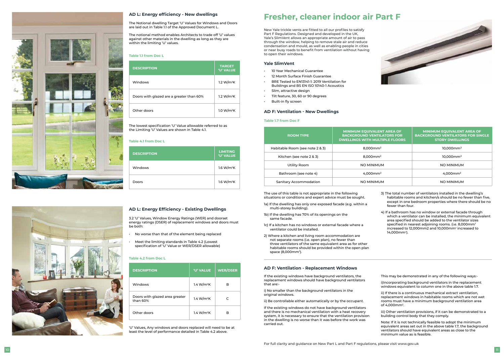

## **Fresher, cleaner indoor air Part F**

New Yale trickle vents are fitted to all our profiles to satisfy Part F Regulations. Designed and developed in the UK, Yale's SlimVent allows an appropriate amount of air to pass through the window, helping to remove stale air and reduce condensation and mould, as well as enabling people in cities or near busy roads to benefit from ventilation without having to open their windows.<br>**Yale SlimVent**<br>• 10 Year Mechanical Guarantee

| <b>ROOM TYPE</b>                | <b>MINIMUM EQUIVALENT AREA OF</b><br><b>BACKGROUND VENTILATORS FOR</b><br><b>DWELLINGS WITH MULTIPLE FLOORS</b> | <b>MINIMUM EQUIVALENT AREA OF</b><br><b>BACKGROUND VENTILATORS FOR SINGLE</b><br><b>STORY DWELLINGS</b> |
|---------------------------------|-----------------------------------------------------------------------------------------------------------------|---------------------------------------------------------------------------------------------------------|
| Habitable Room (see note 2 & 3) | $8.000$ mm <sup>2</sup>                                                                                         | $10.000$ mm <sup>2</sup>                                                                                |
| Kitchen (see note 2 & 3)        | $8.000$ mm <sup>2</sup>                                                                                         | $10.000$ mm <sup>2</sup>                                                                                |
| Utility Room                    | NO MINIMUM                                                                                                      | NO MINIMUM                                                                                              |
| Bathroom (see note 4)           | $4.000$ mm <sup>2</sup>                                                                                         | $4.000$ mm <sup>2</sup>                                                                                 |
| Sanitary Accommodation          | NO MINIMUM                                                                                                      | <b>NO MINIMUM</b>                                                                                       |

3.2 'U' Values, Window Energy Ratings (WER) and doorset energy ratings (DSER) of replacement windows and doors must be both:<br>• No worse than that of the element being replaced

#### **Yale SlimVent**

- 
- 12 Month Surface Finish Guarantee
- BRE Tested to EN13141-1: 2019 Ventilation for Buildings and BS EN ISO 10140-1 Acoustics
- Slim, attractive design
- Tilt feature, 30, 60 or 90 degrees
- Built-in fly screen

#### **Table 1.1 from Doc L**





#### **AD L: Energy efficiency - New dwellings**

#### **AD L: Energy Efficiency - Existing Dwellings**

| <b>DESCRIPTION</b>                       | <b>TARGET</b><br><b>'U' VALUE</b> |
|------------------------------------------|-----------------------------------|
| Windows                                  | 1.2 W/m <sup>2</sup> K            |
| Doors with glazed are a greater than 60% | 1.2 W/m <sup>2</sup> K            |
| Other doors                              | 1.0 W/m <sup>2</sup> K            |

| <b>DESCRIPTION</b>                         | <b>'U' VALUE</b>       | <b>WER/DSER</b> |
|--------------------------------------------|------------------------|-----------------|
| Windows                                    | 1.4 W/m <sup>2</sup> K | в               |
| Doors with glazed area greater<br>than 60% | 1.4 W/m <sup>2</sup> K | C               |
| Other doors                                | 1.4 W/m <sup>2</sup> K | R               |

| <b>DESCRIPTION</b> | <b>LIMITING</b><br><b>'U' VALUE</b> |
|--------------------|-------------------------------------|
| Windows            | 1.6 W/m <sup>2</sup> K              |
| Doors              | 1.6 W/m <sup>2</sup> K              |

The Notional dwelling Target 'U' Values for Windows and Doors are laid out in Table 1.1 of the Approved Document L.

The notional method enables Architects to trade off 'U' values against other materials in the dwelling as long as they are within the limiting 'U' values.

- 
- Meet the limiting standards in Table 4.2 (Lowest specification of 'U' Value or WER/DSER allowable)

The lowest specification 'U' Value allowable referred to as the Limiting 'U' Values are shown in Table 4.1.

#### **Table 4.1 from Doc L**

#### **Table 4.2 from Doc L**

'U' Values, Any windows and doors replaced will need to be at least the level of performance detailed in Table 4.2 above.

#### **AD F: Ventilation - New Dwellings**

#### **Table 1.7 from Doc F**

The use of this table is not appropriate in the following situations or conditions and expert advice must be sought.

1a) If the dwelling has only one exposed facade (e.g. within a multi-storey building).

- 1b) If the dwelling has 70% of its openings on the same facade.
- 1c) If a kitchen has no windows or external facade where a ventilator could be installed.
- 2) Where a kitchen and living room accommodation are not separate rooms (i.e. open plan), no fewer than three ventilators of the same equivalent area as for other habitable rooms should be provided within the open plan space (8,000mm 2 ).
- 3) The total number of ventilators installed in the dwelling's habitable rooms and kitchen/s should be no fewer than five, except in one bedroom properties where there should be no fewer than four.
- 4) If a bathroom has no window or external facade through which a ventilator can be installed, the minimum equivalent area specified should be added to the ventilator sizes specified in nearest adjoining rooms. (i.e. 8,000 $\mathsf{mm}^{\scriptscriptstyle 2}$ increased to 12,000mm2 and 10,000mm 2 increased to 14,000mm 2 ).

If the existing windows have background ventilators, the replacement windows should have background ventilators that are:-

i) No smaller than the background ventilators in the original windows.

ii) Be controllable either automatically or by the occupant.

If the existing windows do not have background ventilators and there is no mechanical ventilation with a heat recovery system, it is necessary to ensure that the ventilation provision in the dwelling is no worse than it was before the work was carried out.

- This may be demonstrated in any of the following ways:-
- i)Incorporating background ventilators in the replacement windows equivalent to column one in the above table 1.7.
- ii) If there is a continuous mechanical extract ventilation replacement windows in habitable rooms which are not wet rooms must have a minimum background ventilation area of 4,000mm 2 .
- iii) Other ventilation provisions, if it can be demonstrated to a building control body that they comply.
- Note: If it is not technically feasible to adopt the minimum equivalent areas set out in the above table 1.7, the background ventilators should have equivalent areas as close to the minimum value as is feasible.

#### **AD F: Ventilation - Replacement Windows**